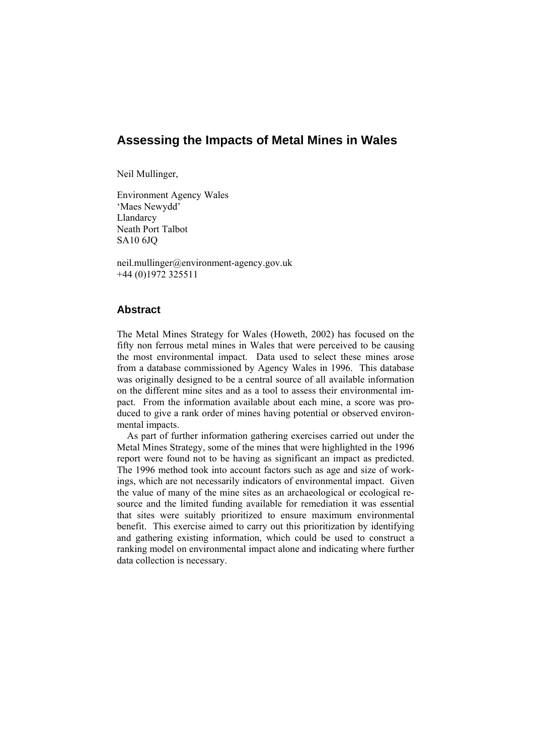# **Assessing the Impacts of Metal Mines in Wales**

Neil Mullinger,

Environment Agency Wales 'Maes Newydd' Llandarcy Neath Port Talbot SA10 6JQ

neil.mullinger@environment-agency.gov.uk +44 (0)1972 325511

# **Abstract**

The Metal Mines Strategy for Wales (Howeth, 2002) has focused on the fifty non ferrous metal mines in Wales that were perceived to be causing the most environmental impact. Data used to select these mines arose from a database commissioned by Agency Wales in 1996. This database was originally designed to be a central source of all available information on the different mine sites and as a tool to assess their environmental impact. From the information available about each mine, a score was produced to give a rank order of mines having potential or observed environmental impacts.

As part of further information gathering exercises carried out under the Metal Mines Strategy, some of the mines that were highlighted in the 1996 report were found not to be having as significant an impact as predicted. The 1996 method took into account factors such as age and size of workings, which are not necessarily indicators of environmental impact. Given the value of many of the mine sites as an archaeological or ecological resource and the limited funding available for remediation it was essential that sites were suitably prioritized to ensure maximum environmental benefit. This exercise aimed to carry out this prioritization by identifying and gathering existing information, which could be used to construct a ranking model on environmental impact alone and indicating where further data collection is necessary.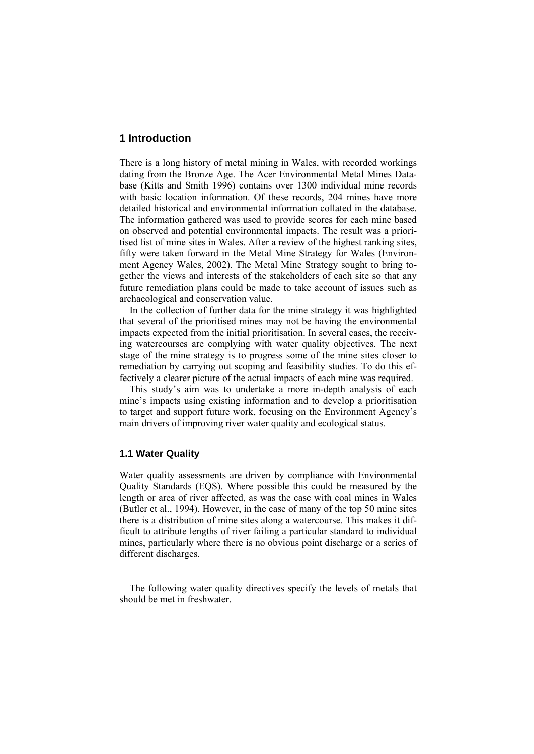## **1 Introduction**

There is a long history of metal mining in Wales, with recorded workings dating from the Bronze Age. The Acer Environmental Metal Mines Database (Kitts and Smith 1996) contains over 1300 individual mine records with basic location information. Of these records, 204 mines have more detailed historical and environmental information collated in the database. The information gathered was used to provide scores for each mine based on observed and potential environmental impacts. The result was a prioritised list of mine sites in Wales. After a review of the highest ranking sites, fifty were taken forward in the Metal Mine Strategy for Wales (Environment Agency Wales, 2002). The Metal Mine Strategy sought to bring together the views and interests of the stakeholders of each site so that any future remediation plans could be made to take account of issues such as archaeological and conservation value.

In the collection of further data for the mine strategy it was highlighted that several of the prioritised mines may not be having the environmental impacts expected from the initial prioritisation. In several cases, the receiving watercourses are complying with water quality objectives. The next stage of the mine strategy is to progress some of the mine sites closer to remediation by carrying out scoping and feasibility studies. To do this effectively a clearer picture of the actual impacts of each mine was required.

This study's aim was to undertake a more in-depth analysis of each mine's impacts using existing information and to develop a prioritisation to target and support future work, focusing on the Environment Agency's main drivers of improving river water quality and ecological status.

### **1.1 Water Quality**

Water quality assessments are driven by compliance with Environmental Quality Standards (EQS). Where possible this could be measured by the length or area of river affected, as was the case with coal mines in Wales (Butler et al., 1994). However, in the case of many of the top 50 mine sites there is a distribution of mine sites along a watercourse. This makes it difficult to attribute lengths of river failing a particular standard to individual mines, particularly where there is no obvious point discharge or a series of different discharges.

The following water quality directives specify the levels of metals that should be met in freshwater.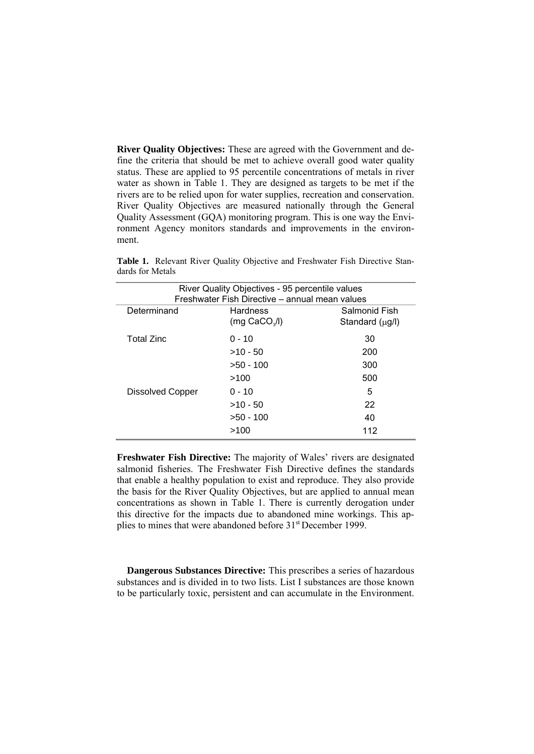**River Quality Objectives:** These are agreed with the Government and define the criteria that should be met to achieve overall good water quality status. These are applied to 95 percentile concentrations of metals in river water as shown in Table 1. They are designed as targets to be met if the rivers are to be relied upon for water supplies, recreation and conservation. River Quality Objectives are measured nationally through the General Quality Assessment (GQA) monitoring program. This is one way the Environment Agency monitors standards and improvements in the environment.

| River Quality Objectives - 95 percentile values<br>Freshwater Fish Directive - annual mean values |                                                       |                                  |  |  |
|---------------------------------------------------------------------------------------------------|-------------------------------------------------------|----------------------------------|--|--|
| Determinand                                                                                       | <b>Hardness</b><br>$(mq$ CaCO <sub>3</sub> /I)        | Salmonid Fish<br>Standard (µg/l) |  |  |
| <b>Total Zinc</b>                                                                                 | $0 - 10$<br>$>10 - 50$<br>$>50 - 100$                 | 30<br>200<br>300                 |  |  |
| Dissolved Copper                                                                                  | >100<br>$0 - 10$<br>$>10 - 50$<br>$>50 - 100$<br>>100 | 500<br>5<br>22<br>40<br>112      |  |  |

**Table 1.** Relevant River Quality Objective and Freshwater Fish Directive Standards for Metals

**Freshwater Fish Directive:** The majority of Wales' rivers are designated salmonid fisheries. The Freshwater Fish Directive defines the standards that enable a healthy population to exist and reproduce. They also provide the basis for the River Quality Objectives, but are applied to annual mean concentrations as shown in Table 1. There is currently derogation under this directive for the impacts due to abandoned mine workings. This applies to mines that were abandoned before 31<sup>st</sup> December 1999.

**Dangerous Substances Directive:** This prescribes a series of hazardous substances and is divided in to two lists. List I substances are those known to be particularly toxic, persistent and can accumulate in the Environment.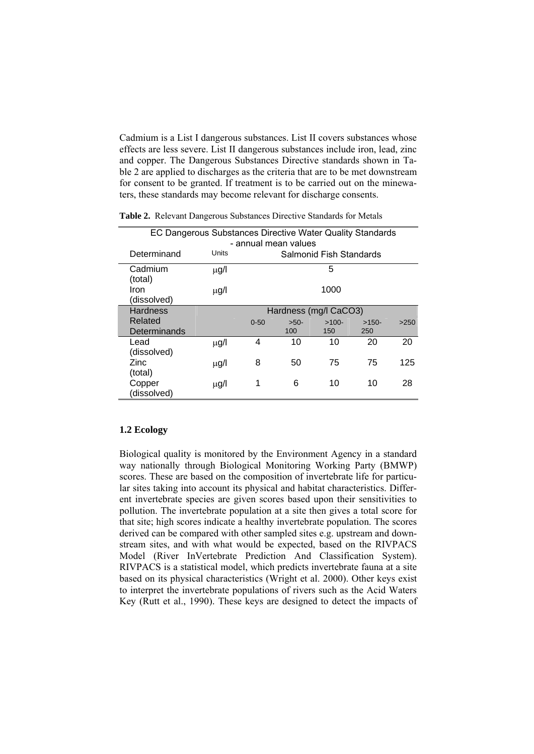Cadmium is a List I dangerous substances. List II covers substances whose effects are less severe. List II dangerous substances include iron, lead, zinc and copper. The Dangerous Substances Directive standards shown in Table 2 are applied to discharges as the criteria that are to be met downstream for consent to be granted. If treatment is to be carried out on the minewaters, these standards may become relevant for discharge consents.

| EC Dangerous Substances Directive Water Quality Standards |           |                       |        |                                |         |      |
|-----------------------------------------------------------|-----------|-----------------------|--------|--------------------------------|---------|------|
|                                                           |           | - annual mean values  |        |                                |         |      |
| Determinand                                               | Units     |                       |        | <b>Salmonid Fish Standards</b> |         |      |
| Cadmium<br>(total)                                        | μg/l      |                       |        | 5                              |         |      |
| Iron<br>(dissolved)                                       | $\mu$ g/l |                       |        | 1000                           |         |      |
| <b>Hardness</b>                                           |           | Hardness (mg/l CaCO3) |        |                                |         |      |
| Related                                                   |           | $0 - 50$              | $>50-$ | $>100-$                        | $>150-$ | >250 |
| Determinands                                              |           |                       | 100    | 150                            | 250     |      |
| Lead<br>(dissolved)                                       | $\mu$ g/l | 4                     | 10     | 10                             | 20      | 20   |
| Zinc<br>(total)                                           | $\mu$ g/l | 8                     | 50     | 75                             | 75      | 125  |
| Copper<br>(dissolved)                                     | $\mu$ g/l | 1                     | 6      | 10                             | 10      | 28   |
|                                                           |           |                       |        |                                |         |      |

**Table 2.** Relevant Dangerous Substances Directive Standards for Metals

### **1.2 Ecology**

Biological quality is monitored by the Environment Agency in a standard way nationally through Biological Monitoring Working Party (BMWP) scores. These are based on the composition of invertebrate life for particular sites taking into account its physical and habitat characteristics. Different invertebrate species are given scores based upon their sensitivities to pollution. The invertebrate population at a site then gives a total score for that site; high scores indicate a healthy invertebrate population. The scores derived can be compared with other sampled sites e.g. upstream and downstream sites, and with what would be expected, based on the RIVPACS Model (River InVertebrate Prediction And Classification System). RIVPACS is a statistical model, which predicts invertebrate fauna at a site based on its physical characteristics (Wright et al. 2000). Other keys exist to interpret the invertebrate populations of rivers such as the Acid Waters Key (Rutt et al., 1990). These keys are designed to detect the impacts of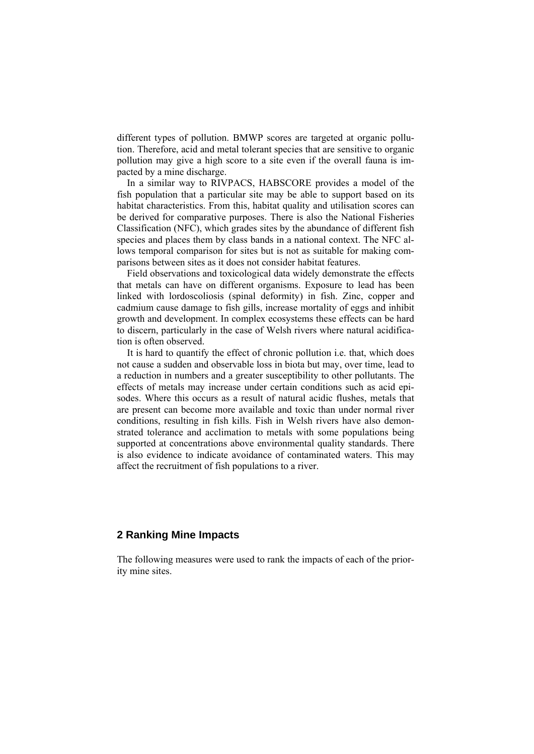different types of pollution. BMWP scores are targeted at organic pollution. Therefore, acid and metal tolerant species that are sensitive to organic pollution may give a high score to a site even if the overall fauna is impacted by a mine discharge.

In a similar way to RIVPACS, HABSCORE provides a model of the fish population that a particular site may be able to support based on its habitat characteristics. From this, habitat quality and utilisation scores can be derived for comparative purposes. There is also the National Fisheries Classification (NFC), which grades sites by the abundance of different fish species and places them by class bands in a national context. The NFC allows temporal comparison for sites but is not as suitable for making comparisons between sites as it does not consider habitat features.

Field observations and toxicological data widely demonstrate the effects that metals can have on different organisms. Exposure to lead has been linked with lordoscoliosis (spinal deformity) in fish. Zinc, copper and cadmium cause damage to fish gills, increase mortality of eggs and inhibit growth and development. In complex ecosystems these effects can be hard to discern, particularly in the case of Welsh rivers where natural acidification is often observed.

It is hard to quantify the effect of chronic pollution i.e. that, which does not cause a sudden and observable loss in biota but may, over time, lead to a reduction in numbers and a greater susceptibility to other pollutants. The effects of metals may increase under certain conditions such as acid episodes. Where this occurs as a result of natural acidic flushes, metals that are present can become more available and toxic than under normal river conditions, resulting in fish kills. Fish in Welsh rivers have also demonstrated tolerance and acclimation to metals with some populations being supported at concentrations above environmental quality standards. There is also evidence to indicate avoidance of contaminated waters. This may affect the recruitment of fish populations to a river.

### **2 Ranking Mine Impacts**

The following measures were used to rank the impacts of each of the priority mine sites.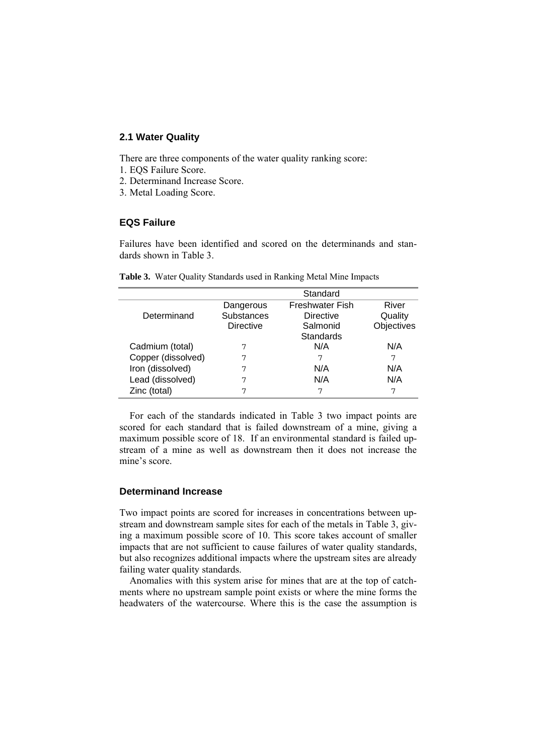## **2.1 Water Quality**

There are three components of the water quality ranking score:

- 1. EQS Failure Score.
- 2. Determinand Increase Score.
- 3. Metal Loading Score.

# **EQS Failure**

Failures have been identified and scored on the determinands and standards shown in Table 3.

|                    |                   | Standard               |            |
|--------------------|-------------------|------------------------|------------|
|                    | Dangerous         | <b>Freshwater Fish</b> | River      |
| Determinand        | <b>Substances</b> | <b>Directive</b>       | Quality    |
|                    | <b>Directive</b>  | Salmonid               | Objectives |
|                    |                   | Standards              |            |
| Cadmium (total)    |                   | N/A                    | N/A        |
| Copper (dissolved) | 7                 | 7                      | 7          |
| Iron (dissolved)   | 7                 | N/A                    | N/A        |
| Lead (dissolved)   | 7                 | N/A                    | N/A        |
| Zinc (total)       |                   | 7                      | 7          |

**Table 3.** Water Quality Standards used in Ranking Metal Mine Impacts

For each of the standards indicated in Table 3 two impact points are scored for each standard that is failed downstream of a mine, giving a maximum possible score of 18. If an environmental standard is failed upstream of a mine as well as downstream then it does not increase the mine's score.

### **Determinand Increase**

Two impact points are scored for increases in concentrations between upstream and downstream sample sites for each of the metals in Table 3, giving a maximum possible score of 10. This score takes account of smaller impacts that are not sufficient to cause failures of water quality standards, but also recognizes additional impacts where the upstream sites are already failing water quality standards.

Anomalies with this system arise for mines that are at the top of catchments where no upstream sample point exists or where the mine forms the headwaters of the watercourse. Where this is the case the assumption is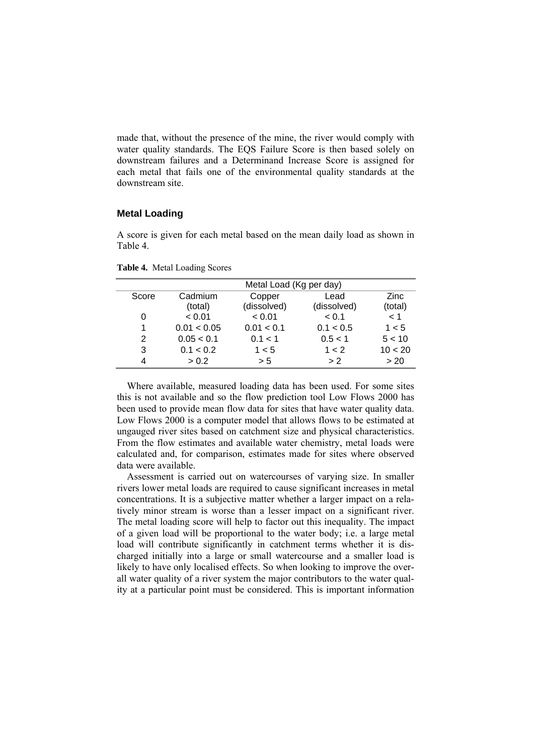made that, without the presence of the mine, the river would comply with water quality standards. The EQS Failure Score is then based solely on downstream failures and a Determinand Increase Score is assigned for each metal that fails one of the environmental quality standards at the downstream site.

#### **Metal Loading**

A score is given for each metal based on the mean daily load as shown in Table 4.

|       | Metal Load (Kg per day) |             |             |             |  |
|-------|-------------------------|-------------|-------------|-------------|--|
| Score | Cadmium                 | Copper      | Lead        | <b>Zinc</b> |  |
|       | (total)                 | (dissolved) | (dissolved) | (total)     |  |
| 0     | < 0.01                  | < 0.01      | < 0.1       | < 1         |  |
| 1     | 0.01 < 0.05             | 0.01 < 0.1  | 0.1 < 0.5   | 1 < 5       |  |
| 2     | 0.05 < 0.1              | 0.1 < 1     | 0.5 < 1     | 5 < 10      |  |
| 3     | 0.1 < 0.2               | 1 < 5       | 1 < 2       | 10 < 20     |  |
| 4     | > 0.2                   | > 5         | > 2         | > 20        |  |

**Table 4.** Metal Loading Scores

Where available, measured loading data has been used. For some sites this is not available and so the flow prediction tool Low Flows 2000 has been used to provide mean flow data for sites that have water quality data. Low Flows 2000 is a computer model that allows flows to be estimated at ungauged river sites based on catchment size and physical characteristics. From the flow estimates and available water chemistry, metal loads were calculated and, for comparison, estimates made for sites where observed data were available.

Assessment is carried out on watercourses of varying size. In smaller rivers lower metal loads are required to cause significant increases in metal concentrations. It is a subjective matter whether a larger impact on a relatively minor stream is worse than a lesser impact on a significant river. The metal loading score will help to factor out this inequality. The impact of a given load will be proportional to the water body; i.e. a large metal load will contribute significantly in catchment terms whether it is discharged initially into a large or small watercourse and a smaller load is likely to have only localised effects. So when looking to improve the overall water quality of a river system the major contributors to the water quality at a particular point must be considered. This is important information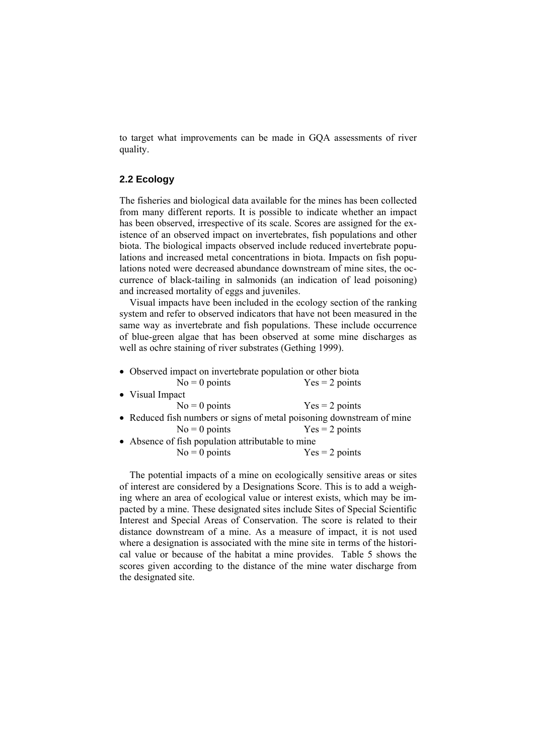to target what improvements can be made in GQA assessments of river quality.

### **2.2 Ecology**

The fisheries and biological data available for the mines has been collected from many different reports. It is possible to indicate whether an impact has been observed, irrespective of its scale. Scores are assigned for the existence of an observed impact on invertebrates, fish populations and other biota. The biological impacts observed include reduced invertebrate populations and increased metal concentrations in biota. Impacts on fish populations noted were decreased abundance downstream of mine sites, the occurrence of black-tailing in salmonids (an indication of lead poisoning) and increased mortality of eggs and juveniles.

Visual impacts have been included in the ecology section of the ranking system and refer to observed indicators that have not been measured in the same way as invertebrate and fish populations. These include occurrence of blue-green algae that has been observed at some mine discharges as well as ochre staining of river substrates (Gething 1999).

| • Observed impact on invertebrate population or other biota           |                  |  |
|-----------------------------------------------------------------------|------------------|--|
| $No = 0$ points                                                       | $Yes = 2 points$ |  |
| • Visual Impact                                                       |                  |  |
| $No = 0$ points                                                       | $Yes = 2 points$ |  |
| • Reduced fish numbers or signs of metal poisoning downstream of mine |                  |  |
| $No = 0$ points                                                       | $Yes = 2 points$ |  |
| • Absence of fish population attributable to mine                     |                  |  |
| $No = 0$ points                                                       | $Yes = 2 points$ |  |

The potential impacts of a mine on ecologically sensitive areas or sites of interest are considered by a Designations Score. This is to add a weighing where an area of ecological value or interest exists, which may be impacted by a mine. These designated sites include Sites of Special Scientific Interest and Special Areas of Conservation. The score is related to their distance downstream of a mine. As a measure of impact, it is not used where a designation is associated with the mine site in terms of the historical value or because of the habitat a mine provides. Table 5 shows the scores given according to the distance of the mine water discharge from the designated site.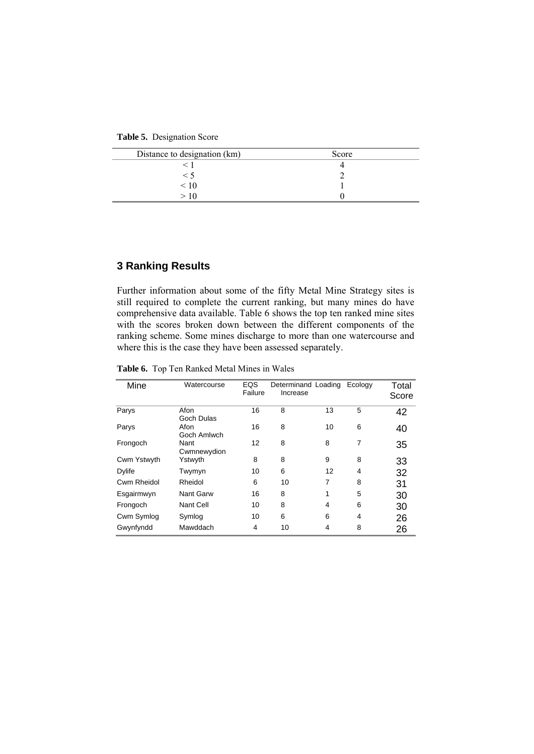**Table 5.** Designation Score

| Distance to designation (km) | Score |
|------------------------------|-------|
|                              |       |
| $\leq$ 1                     |       |
| $\leq 10$                    |       |
|                              |       |

# **3 Ranking Results**

Further information about some of the fifty Metal Mine Strategy sites is still required to complete the current ranking, but many mines do have comprehensive data available. Table 6 shows the top ten ranked mine sites with the scores broken down between the different components of the ranking scheme. Some mines discharge to more than one watercourse and where this is the case they have been assessed separately.

**Table 6.** Top Ten Ranked Metal Mines in Wales

| Mine          | Watercourse         | EQS<br>Failure | Increase | Determinand Loading | Ecology        | Total<br>Score |
|---------------|---------------------|----------------|----------|---------------------|----------------|----------------|
| Parys         | Afon<br>Goch Dulas  | 16             | 8        | 13                  | 5              | 42             |
| Parys         | Afon<br>Goch Amlwch | 16             | 8        | 10                  | 6              | 40             |
| Frongoch      | Nant<br>Cwmnewydion | 12             | 8        | 8                   | $\overline{7}$ | 35             |
| Cwm Ystwyth   | Ystwyth             | 8              | 8        | 9                   | 8              | 33             |
| <b>Dylife</b> | Twymyn              | 10             | 6        | 12                  | 4              | 32             |
| Cwm Rheidol   | Rheidol             | 6              | 10       | 7                   | 8              | 31             |
| Esgairmwyn    | Nant Garw           | 16             | 8        | 1                   | 5              | 30             |
| Frongoch      | Nant Cell           | 10             | 8        | 4                   | 6              | 30             |
| Cwm Symlog    | Symlog              | 10             | 6        | 6                   | 4              | 26             |
| Gwynfyndd     | Mawddach            | 4              | 10       | 4                   | 8              | 26             |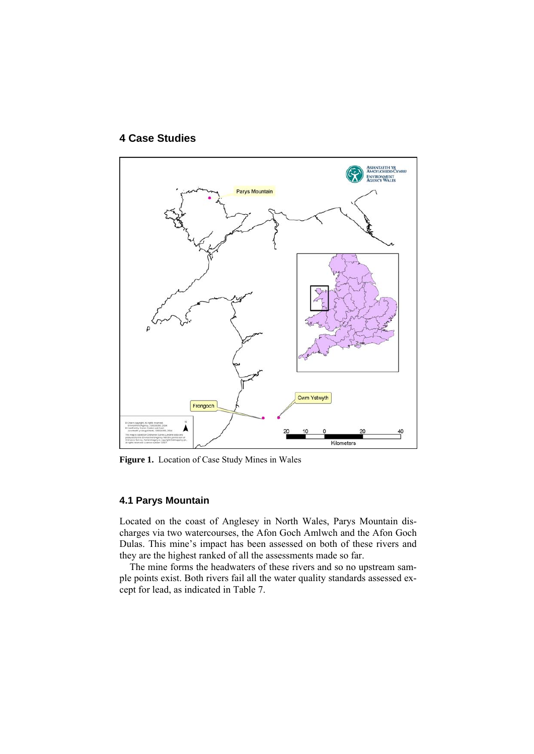

# **4 Case Studies**

**Figure 1.** Location of Case Study Mines in Wales

## **4.1 Parys Mountain**

Located on the coast of Anglesey in North Wales, Parys Mountain discharges via two watercourses, the Afon Goch Amlwch and the Afon Goch Dulas. This mine's impact has been assessed on both of these rivers and they are the highest ranked of all the assessments made so far.

The mine forms the headwaters of these rivers and so no upstream sample points exist. Both rivers fail all the water quality standards assessed except for lead, as indicated in Table 7.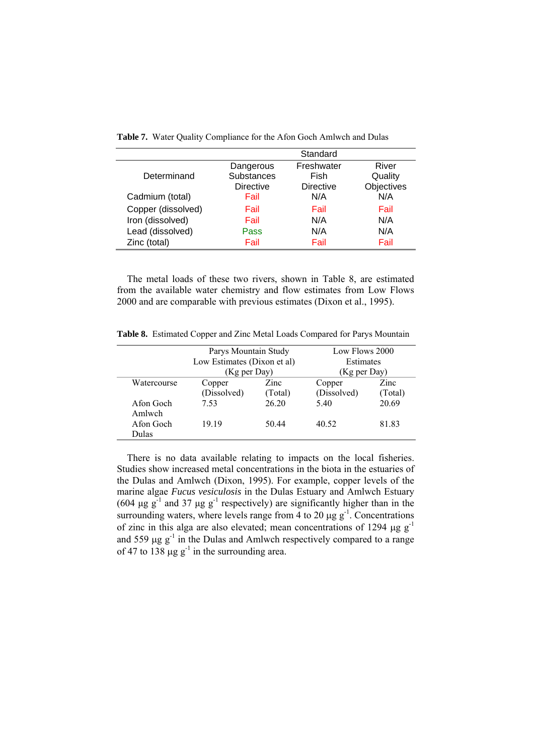|                    |                  | Standard         |            |
|--------------------|------------------|------------------|------------|
|                    | Dangerous        | Freshwater       | River      |
| Determinand        | Substances       | Fish             | Quality    |
|                    | <b>Directive</b> | <b>Directive</b> | Objectives |
| Cadmium (total)    | Fail             | N/A              | N/A        |
| Copper (dissolved) | Fail             | Fail             | Fail       |
| Iron (dissolved)   | Fail             | N/A              | N/A        |
| Lead (dissolved)   | Pass             | N/A              | N/A        |
| Zinc (total)       | Fail             | Fail             | Fail       |

**Table 7.** Water Quality Compliance for the Afon Goch Amlwch and Dulas

The metal loads of these two rivers, shown in Table 8, are estimated from the available water chemistry and flow estimates from Low Flows 2000 and are comparable with previous estimates (Dixon et al., 1995).

**Table 8.** Estimated Copper and Zinc Metal Loads Compared for Parys Mountain

|             | Parys Mountain Study        |         | Low Flows 2000 |         |
|-------------|-----------------------------|---------|----------------|---------|
|             | Low Estimates (Dixon et al) |         | Estimates      |         |
|             | (Kg per Day)                |         | (Kg per Day)   |         |
| Watercourse | Copper                      | Zinc    | Copper         | Zinc    |
|             | (Dissolved)                 | (Total) | (Dissolved)    | (Total) |
| Afon Goch   | 7.53                        | 26.20   | 5.40           | 20.69   |
| Amlwch      |                             |         |                |         |
| Afon Goch   | 19 19                       | 50.44   | 40.52          | 81.83   |
| Dulas       |                             |         |                |         |

There is no data available relating to impacts on the local fisheries. Studies show increased metal concentrations in the biota in the estuaries of the Dulas and Amlwch (Dixon, 1995). For example, copper levels of the marine algae *Fucus vesiculosis* in the Dulas Estuary and Amlwch Estuary (604 μg g<sup>-1</sup> and 37 μg g<sup>-1</sup> respectively) are significantly higher than in the surrounding waters, where levels range from 4 to 20  $\mu$ g g<sup>-1</sup>. Concentrations of zinc in this alga are also elevated; mean concentrations of 1294  $\mu$ g g<sup>-1</sup> and 559  $\mu$ g g<sup>-1</sup> in the Dulas and Amlwch respectively compared to a range of 47 to 138  $\mu$ g g<sup>-1</sup> in the surrounding area.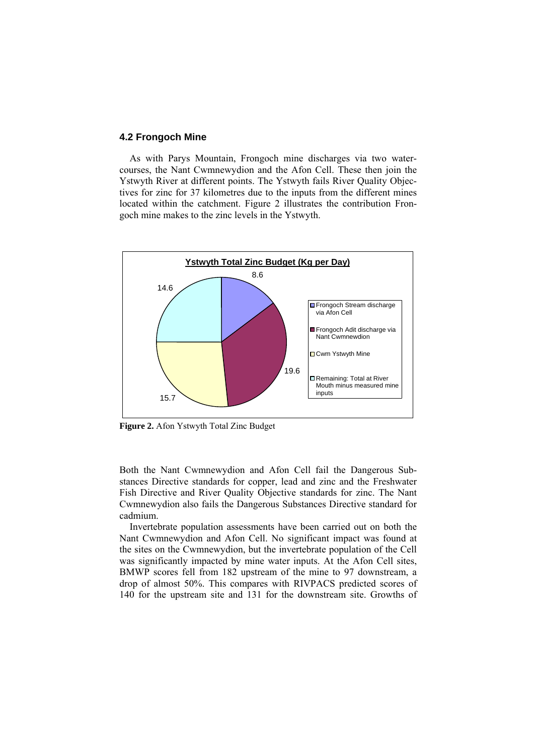### **4.2 Frongoch Mine**

As with Parys Mountain, Frongoch mine discharges via two watercourses, the Nant Cwmnewydion and the Afon Cell. These then join the Ystwyth River at different points. The Ystwyth fails River Quality Objectives for zinc for 37 kilometres due to the inputs from the different mines located within the catchment. Figure 2 illustrates the contribution Frongoch mine makes to the zinc levels in the Ystwyth.



**Figure 2.** Afon Ystwyth Total Zinc Budget

Both the Nant Cwmnewydion and Afon Cell fail the Dangerous Substances Directive standards for copper, lead and zinc and the Freshwater Fish Directive and River Quality Objective standards for zinc. The Nant Cwmnewydion also fails the Dangerous Substances Directive standard for cadmium.

Invertebrate population assessments have been carried out on both the Nant Cwmnewydion and Afon Cell. No significant impact was found at the sites on the Cwmnewydion, but the invertebrate population of the Cell was significantly impacted by mine water inputs. At the Afon Cell sites, BMWP scores fell from 182 upstream of the mine to 97 downstream, a drop of almost 50%. This compares with RIVPACS predicted scores of 140 for the upstream site and 131 for the downstream site. Growths of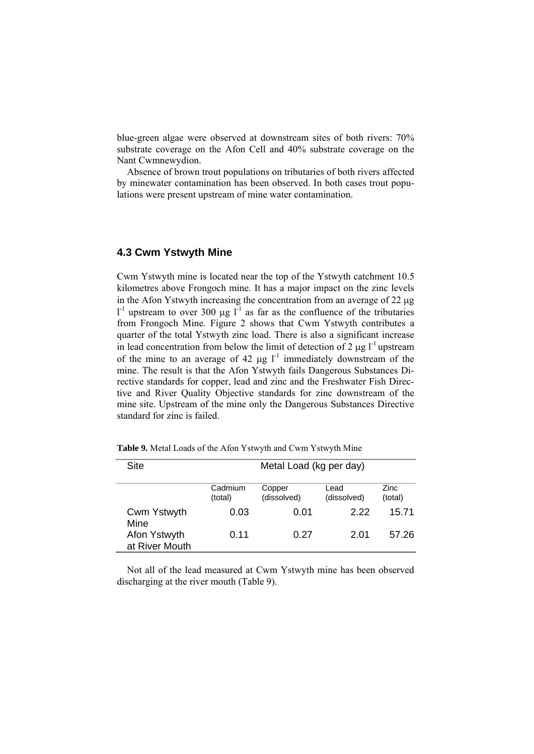blue-green algae were observed at downstream sites of both rivers: 70% substrate coverage on the Afon Cell and 40% substrate coverage on the Nant Cwmnewydion.

Absence of brown trout populations on tributaries of both rivers affected by minewater contamination has been observed. In both cases trout populations were present upstream of mine water contamination.

## **4.3 Cwm Ystwyth Mine**

Cwm Ystwyth mine is located near the top of the Ystwyth catchment 10.5 kilometres above Frongoch mine. It has a major impact on the zinc levels in the Afon Ystwyth increasing the concentration from an average of 22 μg  $l<sup>-1</sup>$  upstream to over 300 μg  $l<sup>-1</sup>$  as far as the confluence of the tributaries from Frongoch Mine. Figure 2 shows that Cwm Ystwyth contributes a quarter of the total Ystwyth zinc load. There is also a significant increase in lead concentration from below the limit of detection of 2  $\mu$ g l<sup>-1</sup> upstream of the mine to an average of 42  $\mu$ g l<sup>-1</sup> immediately downstream of the mine. The result is that the Afon Ystwyth fails Dangerous Substances Directive standards for copper, lead and zinc and the Freshwater Fish Directive and River Quality Objective standards for zinc downstream of the mine site. Upstream of the mine only the Dangerous Substances Directive standard for zinc is failed.

| Site                           | Metal Load (kg per day) |                       |                     |                 |
|--------------------------------|-------------------------|-----------------------|---------------------|-----------------|
|                                | Cadmium<br>(total)      | Copper<br>(dissolved) | Lead<br>(dissolved) | Zinc<br>(total) |
| Cwm Ystwyth<br>Mine            | 0.03                    | 0.01                  | 2.22                | 15.71           |
| Afon Ystwyth<br>at River Mouth | 0.11                    | 0.27                  | 2.01                | 57.26           |

**Table 9.** Metal Loads of the Afon Ystwyth and Cwm Ystwyth Mine

Not all of the lead measured at Cwm Ystwyth mine has been observed discharging at the river mouth (Table 9).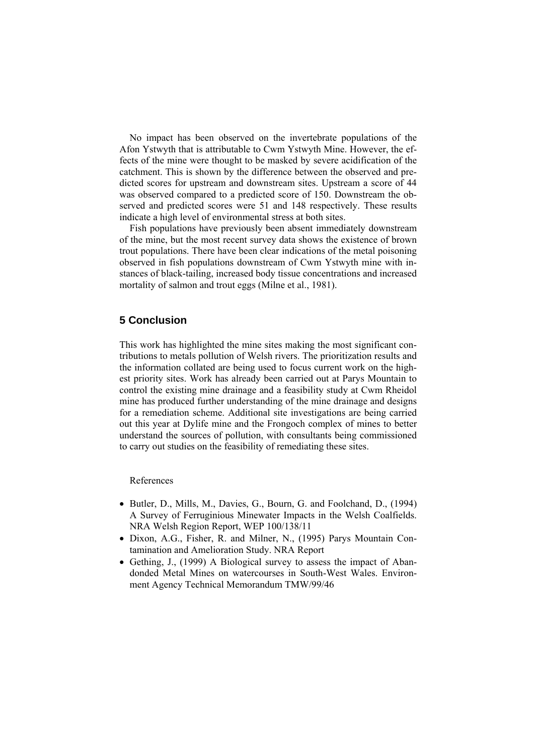No impact has been observed on the invertebrate populations of the Afon Ystwyth that is attributable to Cwm Ystwyth Mine. However, the effects of the mine were thought to be masked by severe acidification of the catchment. This is shown by the difference between the observed and predicted scores for upstream and downstream sites. Upstream a score of 44 was observed compared to a predicted score of 150. Downstream the observed and predicted scores were 51 and 148 respectively. These results indicate a high level of environmental stress at both sites.

Fish populations have previously been absent immediately downstream of the mine, but the most recent survey data shows the existence of brown trout populations. There have been clear indications of the metal poisoning observed in fish populations downstream of Cwm Ystwyth mine with instances of black-tailing, increased body tissue concentrations and increased mortality of salmon and trout eggs (Milne et al., 1981).

### **5 Conclusion**

This work has highlighted the mine sites making the most significant contributions to metals pollution of Welsh rivers. The prioritization results and the information collated are being used to focus current work on the highest priority sites. Work has already been carried out at Parys Mountain to control the existing mine drainage and a feasibility study at Cwm Rheidol mine has produced further understanding of the mine drainage and designs for a remediation scheme. Additional site investigations are being carried out this year at Dylife mine and the Frongoch complex of mines to better understand the sources of pollution, with consultants being commissioned to carry out studies on the feasibility of remediating these sites.

#### References

- Butler, D., Mills, M., Davies, G., Bourn, G. and Foolchand, D., (1994) A Survey of Ferruginious Minewater Impacts in the Welsh Coalfields. NRA Welsh Region Report, WEP 100/138/11
- Dixon, A.G., Fisher, R. and Milner, N., (1995) Parys Mountain Contamination and Amelioration Study. NRA Report
- Gething, J., (1999) A Biological survey to assess the impact of Abandonded Metal Mines on watercourses in South-West Wales. Environment Agency Technical Memorandum TMW/99/46